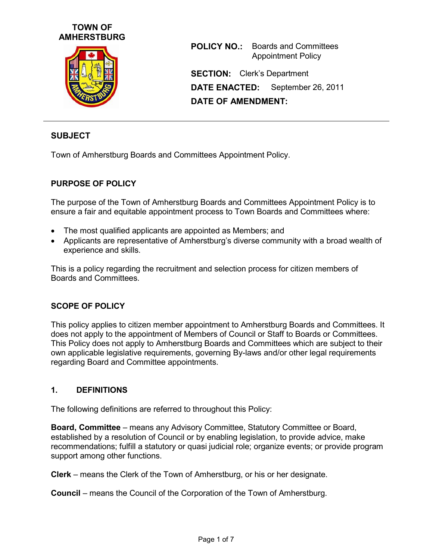



**POLICY NO.:** Boards and Committees Appointment Policy **SECTION:** Clerk's Department **DATE ENACTED:** September 26, 2011 **DATE OF AMENDMENT:**

## **SUBJECT**

Town of Amherstburg Boards and Committees Appointment Policy.

### **PURPOSE OF POLICY**

The purpose of the Town of Amherstburg Boards and Committees Appointment Policy is to ensure a fair and equitable appointment process to Town Boards and Committees where:

- The most qualified applicants are appointed as Members; and
- Applicants are representative of Amherstburg's diverse community with a broad wealth of experience and skills.

This is a policy regarding the recruitment and selection process for citizen members of Boards and Committees.

#### **SCOPE OF POLICY**

This policy applies to citizen member appointment to Amherstburg Boards and Committees. It does not apply to the appointment of Members of Council or Staff to Boards or Committees. This Policy does not apply to Amherstburg Boards and Committees which are subject to their own applicable legislative requirements, governing By-laws and/or other legal requirements regarding Board and Committee appointments.

#### **1. DEFINITIONS**

The following definitions are referred to throughout this Policy:

**Board, Committee** – means any Advisory Committee, Statutory Committee or Board, established by a resolution of Council or by enabling legislation, to provide advice, make recommendations; fulfill a statutory or quasi judicial role; organize events; or provide program support among other functions.

**Clerk** – means the Clerk of the Town of Amherstburg, or his or her designate.

**Council** – means the Council of the Corporation of the Town of Amherstburg.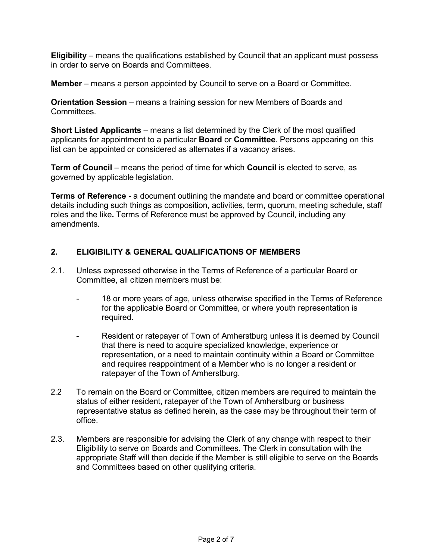**Eligibility** – means the qualifications established by Council that an applicant must possess in order to serve on Boards and Committees.

**Member** – means a person appointed by Council to serve on a Board or Committee.

**Orientation Session** – means a training session for new Members of Boards and Committees.

**Short Listed Applicants** – means a list determined by the Clerk of the most qualified applicants for appointment to a particular **Board** or **Committee**. Persons appearing on this list can be appointed or considered as alternates if a vacancy arises.

**Term of Council** – means the period of time for which **Council** is elected to serve, as governed by applicable legislation.

**Terms of Reference - a document outlining the mandate and board or committee operational** details including such things as composition, activities, term, quorum, meeting schedule, staff roles and the like**.** Terms of Reference must be approved by Council, including any amendments.

### **2. ELIGIBILITY & GENERAL QUALIFICATIONS OF MEMBERS**

- 2.1. Unless expressed otherwise in the Terms of Reference of a particular Board or Committee, all citizen members must be:
	- 18 or more years of age, unless otherwise specified in the Terms of Reference for the applicable Board or Committee, or where youth representation is required.
	- Resident or ratepayer of Town of Amherstburg unless it is deemed by Council that there is need to acquire specialized knowledge, experience or representation, or a need to maintain continuity within a Board or Committee and requires reappointment of a Member who is no longer a resident or ratepayer of the Town of Amherstburg.
- 2.2 To remain on the Board or Committee, citizen members are required to maintain the status of either resident, ratepayer of the Town of Amherstburg or business representative status as defined herein, as the case may be throughout their term of office.
- 2.3. Members are responsible for advising the Clerk of any change with respect to their Eligibility to serve on Boards and Committees. The Clerk in consultation with the appropriate Staff will then decide if the Member is still eligible to serve on the Boards and Committees based on other qualifying criteria.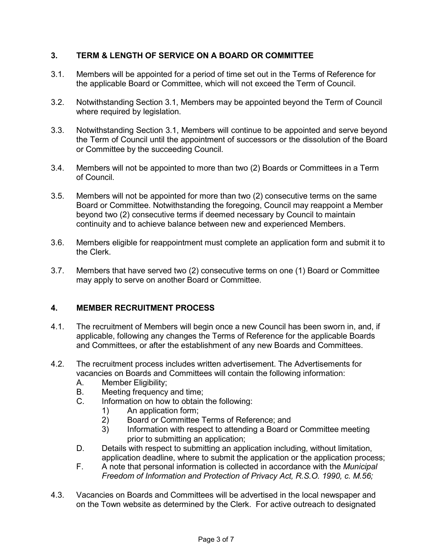# **3. TERM & LENGTH OF SERVICE ON A BOARD OR COMMITTEE**

- 3.1. Members will be appointed for a period of time set out in the Terms of Reference for the applicable Board or Committee, which will not exceed the Term of Council.
- 3.2. Notwithstanding Section 3.1, Members may be appointed beyond the Term of Council where required by legislation.
- 3.3. Notwithstanding Section 3.1, Members will continue to be appointed and serve beyond the Term of Council until the appointment of successors or the dissolution of the Board or Committee by the succeeding Council.
- 3.4. Members will not be appointed to more than two (2) Boards or Committees in a Term of Council.
- 3.5. Members will not be appointed for more than two (2) consecutive terms on the same Board or Committee. Notwithstanding the foregoing, Council may reappoint a Member beyond two (2) consecutive terms if deemed necessary by Council to maintain continuity and to achieve balance between new and experienced Members.
- 3.6. Members eligible for reappointment must complete an application form and submit it to the Clerk.
- 3.7. Members that have served two (2) consecutive terms on one (1) Board or Committee may apply to serve on another Board or Committee.

### **4. MEMBER RECRUITMENT PROCESS**

- 4.1. The recruitment of Members will begin once a new Council has been sworn in, and, if applicable, following any changes the Terms of Reference for the applicable Boards and Committees, or after the establishment of any new Boards and Committees.
- 4.2. The recruitment process includes written advertisement. The Advertisements for vacancies on Boards and Committees will contain the following information:
	- A. Member Eligibility;
	- B. Meeting frequency and time;<br>C. Information on how to obtain
	- Information on how to obtain the following:
		-
		- 1) An application form;<br>2) Board or Committee 2) Board or Committee Terms of Reference; and
		- 3) Information with respect to attending a Board or Committee meeting prior to submitting an application;
	- D. Details with respect to submitting an application including, without limitation, application deadline, where to submit the application or the application process;
	- F. A note that personal information is collected in accordance with the *Municipal Freedom of Information and Protection of Privacy Act, R.S.O. 1990, c. M.56;*
- 4.3. Vacancies on Boards and Committees will be advertised in the local newspaper and on the Town website as determined by the Clerk. For active outreach to designated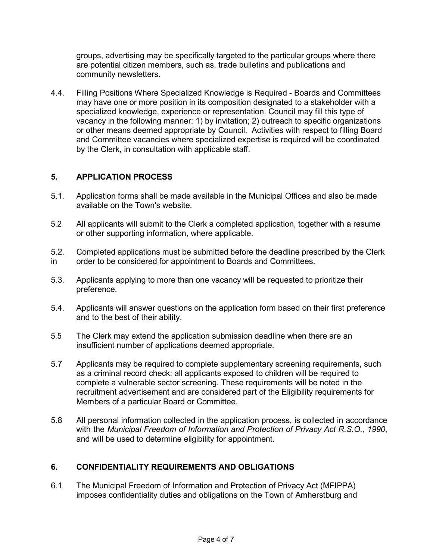groups, advertising may be specifically targeted to the particular groups where there are potential citizen members, such as, trade bulletins and publications and community newsletters.

4.4. Filling Positions Where Specialized Knowledge is Required - Boards and Committees may have one or more position in its composition designated to a stakeholder with a specialized knowledge, experience or representation. Council may fill this type of vacancy in the following manner: 1) by invitation; 2) outreach to specific organizations or other means deemed appropriate by Council. Activities with respect to filling Board and Committee vacancies where specialized expertise is required will be coordinated by the Clerk, in consultation with applicable staff.

# **5. APPLICATION PROCESS**

- 5.1. Application forms shall be made available in the Municipal Offices and also be made available on the Town's website.
- 5.2 All applicants will submit to the Clerk a completed application, together with a resume or other supporting information, where applicable.
- 5.2. Completed applications must be submitted before the deadline prescribed by the Clerk in order to be considered for appointment to Boards and Committees.
- 5.3. Applicants applying to more than one vacancy will be requested to prioritize their preference.
- 5.4. Applicants will answer questions on the application form based on their first preference and to the best of their ability.
- 5.5 The Clerk may extend the application submission deadline when there are an insufficient number of applications deemed appropriate.
- 5.7 Applicants may be required to complete supplementary screening requirements, such as a criminal record check; all applicants exposed to children will be required to complete a vulnerable sector screening. These requirements will be noted in the recruitment advertisement and are considered part of the Eligibility requirements for Members of a particular Board or Committee.
- 5.8 All personal information collected in the application process, is collected in accordance with the *Municipal Freedom of Information and Protection of Privacy Act R.S.O., 1990*, and will be used to determine eligibility for appointment.

### **6. CONFIDENTIALITY REQUIREMENTS AND OBLIGATIONS**

6.1 The Municipal Freedom of Information and Protection of Privacy Act (MFIPPA) imposes confidentiality duties and obligations on the Town of Amherstburg and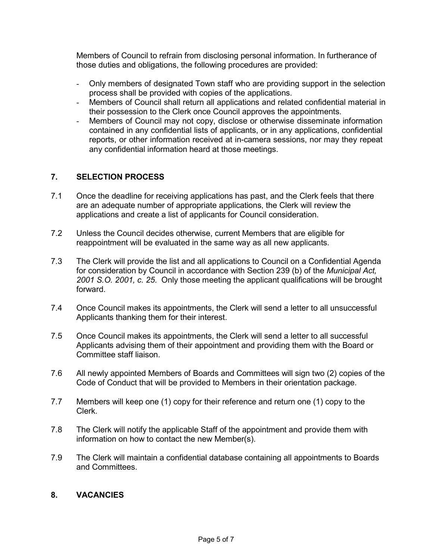Members of Council to refrain from disclosing personal information. In furtherance of those duties and obligations, the following procedures are provided:

- Only members of designated Town staff who are providing support in the selection process shall be provided with copies of the applications.
- Members of Council shall return all applications and related confidential material in their possession to the Clerk once Council approves the appointments.
- Members of Council may not copy, disclose or otherwise disseminate information contained in any confidential lists of applicants, or in any applications, confidential reports, or other information received at in-camera sessions, nor may they repeat any confidential information heard at those meetings.

# **7. SELECTION PROCESS**

- 7.1 Once the deadline for receiving applications has past, and the Clerk feels that there are an adequate number of appropriate applications, the Clerk will review the applications and create a list of applicants for Council consideration.
- 7.2 Unless the Council decides otherwise, current Members that are eligible for reappointment will be evaluated in the same way as all new applicants.
- 7.3 The Clerk will provide the list and all applications to Council on a Confidential Agenda for consideration by Council in accordance with Section 239 (b) of the *Municipal Act, 2001 S.O. 2001, c. 25*. Only those meeting the applicant qualifications will be brought forward.
- 7.4 Once Council makes its appointments, the Clerk will send a letter to all unsuccessful Applicants thanking them for their interest.
- 7.5 Once Council makes its appointments, the Clerk will send a letter to all successful Applicants advising them of their appointment and providing them with the Board or Committee staff liaison.
- 7.6 All newly appointed Members of Boards and Committees will sign two (2) copies of the Code of Conduct that will be provided to Members in their orientation package.
- 7.7 Members will keep one (1) copy for their reference and return one (1) copy to the Clerk.
- 7.8 The Clerk will notify the applicable Staff of the appointment and provide them with information on how to contact the new Member(s).
- 7.9 The Clerk will maintain a confidential database containing all appointments to Boards and Committees.

#### **8. VACANCIES**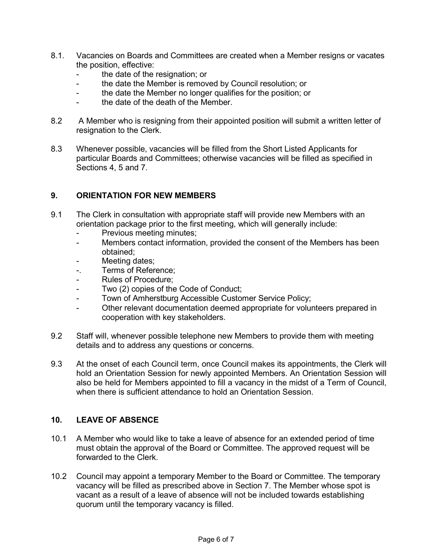- 8.1. Vacancies on Boards and Committees are created when a Member resigns or vacates the position, effective:
	- the date of the resignation; or
	- the date the Member is removed by Council resolution; or
	- the date the Member no longer qualifies for the position; or
	- the date of the death of the Member.
- 8.2 A Member who is resigning from their appointed position will submit a written letter of resignation to the Clerk.
- 8.3 Whenever possible, vacancies will be filled from the Short Listed Applicants for particular Boards and Committees; otherwise vacancies will be filled as specified in Sections 4, 5 and 7.

#### **9. ORIENTATION FOR NEW MEMBERS**

- 9.1 The Clerk in consultation with appropriate staff will provide new Members with an orientation package prior to the first meeting, which will generally include:
	- Previous meeting minutes;
	- Members contact information, provided the consent of the Members has been obtained;
	- Meeting dates;
	- -. Terms of Reference;
	- Rules of Procedure;
	- Two (2) copies of the Code of Conduct;
	- Town of Amherstburg Accessible Customer Service Policy;
	- Other relevant documentation deemed appropriate for volunteers prepared in cooperation with key stakeholders.
- 9.2 Staff will, whenever possible telephone new Members to provide them with meeting details and to address any questions or concerns.
- 9.3 At the onset of each Council term, once Council makes its appointments, the Clerk will hold an Orientation Session for newly appointed Members. An Orientation Session will also be held for Members appointed to fill a vacancy in the midst of a Term of Council, when there is sufficient attendance to hold an Orientation Session.

#### **10. LEAVE OF ABSENCE**

- 10.1 A Member who would like to take a leave of absence for an extended period of time must obtain the approval of the Board or Committee. The approved request will be forwarded to the Clerk.
- 10.2 Council may appoint a temporary Member to the Board or Committee. The temporary vacancy will be filled as prescribed above in Section 7. The Member whose spot is vacant as a result of a leave of absence will not be included towards establishing quorum until the temporary vacancy is filled.